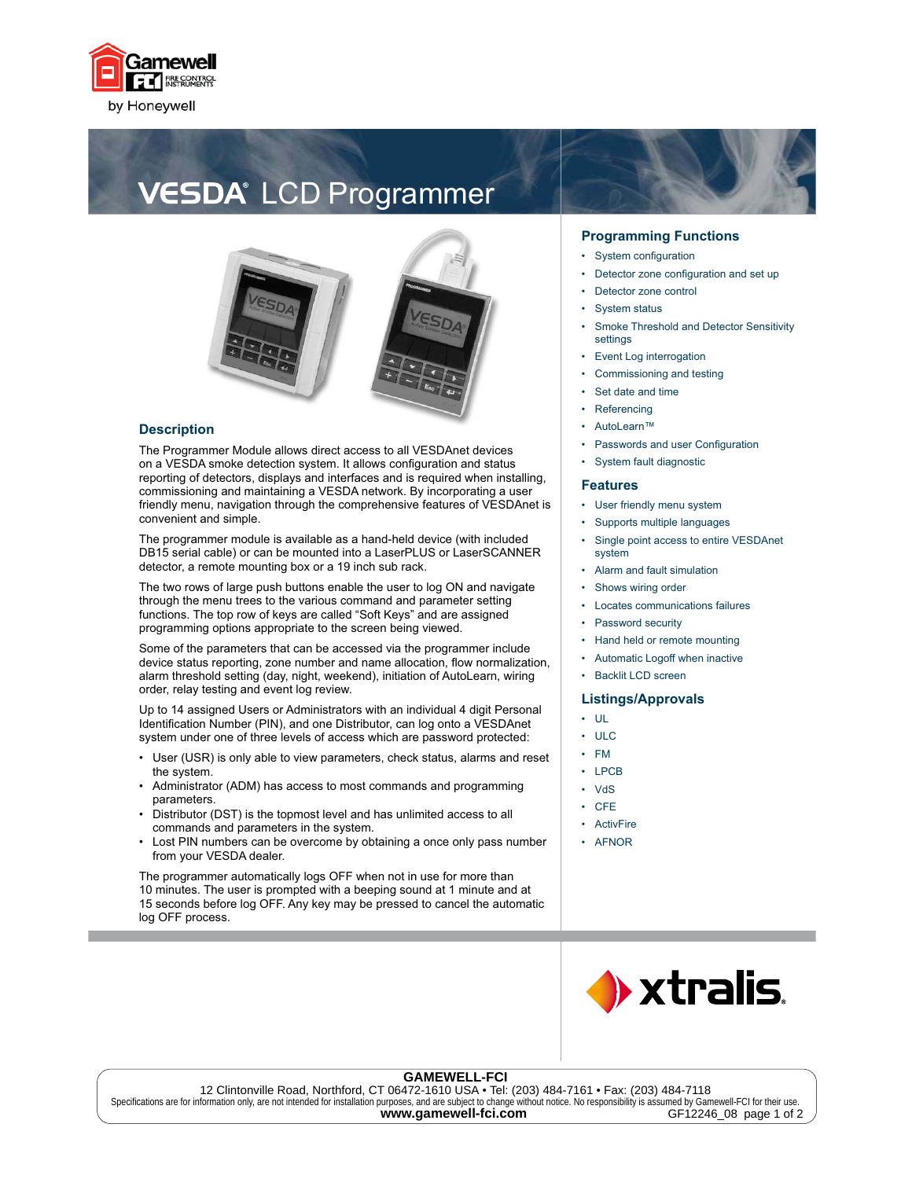

# **VESDA**<sup>®</sup> LCD Programmer



### **Description**

The Programmer Module allows direct access to all VESDAnet devices on a VESDA smoke detection system. It allows configuration and status reporting of detectors, displays and interfaces and is required when installing, commissioning and maintaining a VESDA network. By incorporating a user friendly menu, navigation through the comprehensive features of VESDAnet is convenient and simple.

The programmer module is available as a hand-held device (with included DB15 serial cable) or can be mounted into a LaserPLUS or LaserSCANNER detector, a remote mounting box or a 19 inch sub rack.

The two rows of large push buttons enable the user to log ON and navigate through the menu trees to the various command and parameter setting functions. The top row of keys are called "Soft Keys" and are assigned programming options appropriate to the screen being viewed.

Some of the parameters that can be accessed via the programmer include device status reporting, zone number and name allocation, flow normalization, alarm threshold setting (day, night, weekend), initiation of AutoLearn, wiring order, relay testing and event log review.

Up to 14 assigned Users or Administrators with an individual 4 digit Personal Identification Number (PIN), and one Distributor, can log onto a VESDAnet system under one of three levels of access which are password protected:

- User (USR) is only able to view parameters, check status, alarms and reset the system.
- Administrator (ADM) has access to most commands and programming parameters. •
- Distributor (DST) is the topmost level and has unlimited access to all commands and parameters in the system. •
- Lost PIN numbers can be overcome by obtaining a once only pass number from your VESDA dealer. •

The programmer automatically logs OFF when not in use for more than 10 minutes. The user is prompted with a beeping sound at 1 minute and at 15 seconds before log OFF. Any key may be pressed to cancel the automatic log OFF process.

## **Programming Functions**

- System configuration •
- Detector zone configuration and set up •
- Detector zone control •
- System status •
- Smoke Threshold and Detector Sensitivity settinas •
- Event Log interrogation •
- Commissioning and testing •
- Set date and time •
- Referencing •
- AutoLearn™
- Passwords and user Configuration •
- System fault diagnostic •

#### **Features**

•

•

- User friendly menu system
- Supports multiple languages •
- Single point access to entire VESDAnet system •
- Alarm and fault simulation •
- Shows wiring order
- Locates communications failures •
- Password security •
- Hand held or remote mounting •
- Automatic Logoff when inactive •
- Backlit LCD screen •

## **Listings/Approvals**

- UL
- ULC •
- FM •
- LPCB •
- **V<sub>d</sub>S** •
- **CFE ActivFire** • •
- AFNOR



#### **GAMEWELL-FCI**

12 Clintonville Road, Northford, CT 06472-1610 USA • Tel: (203) 484-7161 • Fax: (203) 484-7118 Specifications are for information only, are not intended for installation purposes, and are subject to change without notice. No responsibility is assumed by Gamewell-FCI for their use. www.gamewell-fci.com